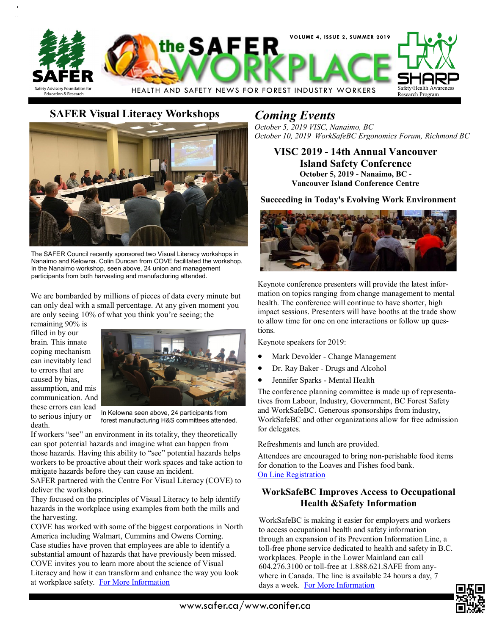

# **SAFER Visual Literacy Workshops** *Coming Events*



The SAFER Council recently sponsored two Visual Literacy workshops in Nanaimo and Kelowna. Colin Duncan from COVE facilitated the workshop. In the Nanaimo workshop, seen above, 24 union and management participants from both harvesting and manufacturing attended.

We are bombarded by millions of pieces of data every minute but can only deal with a small percentage. At any given moment you are only seeing 10% of what you think you're seeing; the

remaining 90% is filled in by our brain. This innate coping mechanism can inevitably lead to errors that are caused by bias, assumption, and mis communication. And these errors can lead to serious injury or death.



In Kelowna seen above, 24 participants from forest manufacturing H&S committees attended.

If workers "see" an environment in its totality, they theoretically can spot potential hazards and imagine what can happen from those hazards. Having this ability to "see" potential hazards helps workers to be proactive about their work spaces and take action to mitigate hazards before they can cause an incident.

SAFER partnered with the Centre For Visual Literacy (COVE) to deliver the workshops.

They focused on the principles of Visual Literacy to help identify hazards in the workplace using examples from both the mills and the harvesting.

COVE has worked with some of the biggest corporations in North America including Walmart, Cummins and Owens Corning. Case studies have proven that employees are able to identify a substantial amount of hazards that have previously been missed. COVE invites you to learn more about the science of Visual Literacy and how it can transform and enhance the way you look at workplace safety. [For More Information](https://www.covectr.com/home)

*October 5, 2019 VISC, Nanaimo, BC October 10, 2019 WorkSafeBC Ergonomics Forum, Richmond BC*

**VISC 2019 - 14th Annual Vancouver Island Safety Conference October 5, 2019 - Nanaimo, BC - Vancouver Island Conference Centre**

**Succeeding in Today's Evolving Work Environment**



Keynote conference presenters will provide the latest information on topics ranging from change management to mental health. The conference will continue to have shorter, high impact sessions. Presenters will have booths at the trade show to allow time for one on one interactions or follow up questions.

Keynote speakers for 2019:

- Mark Devolder Change Management
- Dr. Ray Baker Drugs and Alcohol
- Jennifer Sparks Mental Health

The conference planning committee is made up of representatives from Labour, Industry, Government, BC Forest Safety and WorkSafeBC. Generous sponsorships from industry, WorkSafeBC and other organizations allow for free admission for delegates.

Refreshments and lunch are provided.

Attendees are encouraged to bring non-perishable food items for donation to the Loaves and Fishes food bank. [On Line Registration](http://www.bcforestsafe.org/fscapps/reg.php?e=26)

# **WorkSafeBC Improves Access to Occupational Health &Safety Information**

WorkSafeBC is making it easier for employers and workers to access occupational health and safety information through an expansion of its Prevention Information Line, a toll-free phone service dedicated to health and safety in B.C. workplaces. People in the Lower Mainland can call 604.276.3100 or toll-free at 1.888.621.SAFE from anywhere in Canada. The line is available 24 hours a day, 7 days a week. [For More Information](https://www.worksafebc.com/en/about-us/news-events/news-releases/2019/July/worksafebc-improves-access-to-occupational-health-safety-info)